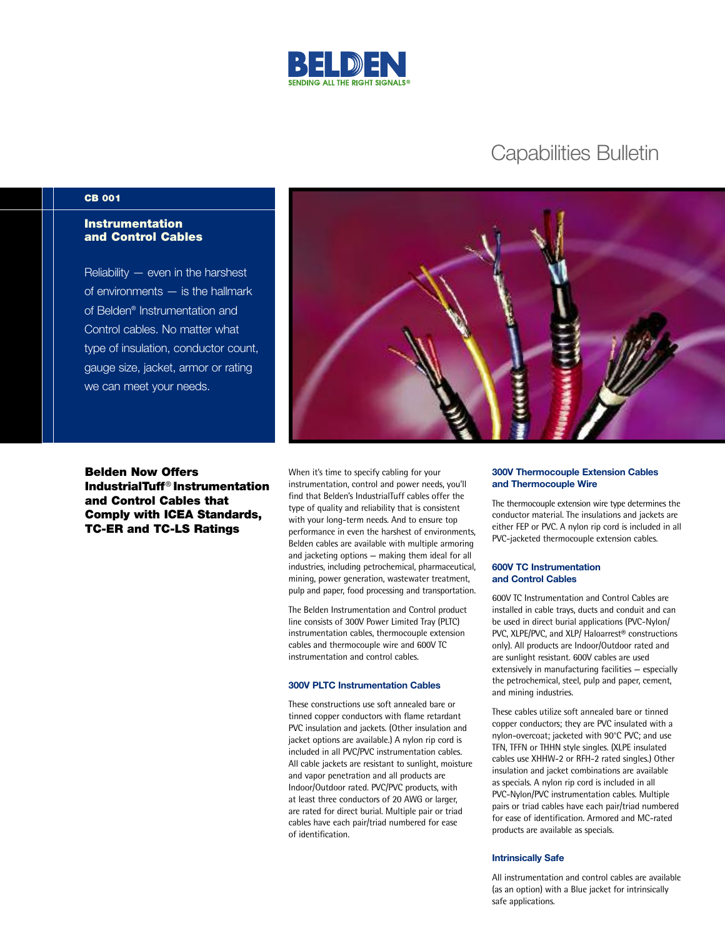

# Capabilities Bulletin

## **CB 001**

# **Instrumentation and Control Cables**

Reliability — even in the harshest of environments — is the hallmark of Belden® Instrumentation and Control cables. No matter what type of insulation, conductor count, gauge size, jacket, armor or rating we can meet your needs.

**Belden Now Offers IndustrialTuff**® **Instrumentation and Control Cables that Comply with ICEA Standards, TC-ER and TC-LS Ratings**

When it's time to specify cabling for your instrumentation, control and power needs, you'll find that Belden's IndustrialTuff cables offer the type of quality and reliability that is consistent with your long-term needs. And to ensure top performance in even the harshest of environments, Belden cables are available with multiple armoring and jacketing options — making them ideal for all industries, including petrochemical, pharmaceutical, mining, power generation, wastewater treatment, pulp and paper, food processing and transportation.

The Belden Instrumentation and Control product line consists of 300V Power Limited Tray (PLTC) instrumentation cables, thermocouple extension cables and thermocouple wire and 600V TC instrumentation and control cables.

#### **300V PLTC Instrumentation Cables**

These constructions use soft annealed bare or tinned copper conductors with flame retardant PVC insulation and jackets. (Other insulation and jacket options are available.) A nylon rip cord is included in all PVC/PVC instrumentation cables. All cable jackets are resistant to sunlight, moisture and vapor penetration and all products are Indoor/Outdoor rated. PVC/PVC products, with at least three conductors of 20 AWG or larger, are rated for direct burial. Multiple pair or triad cables have each pair/triad numbered for ease of identification.

#### **300V Thermocouple Extension Cables and Thermocouple Wire**

The thermocouple extension wire type determines the conductor material. The insulations and jackets are either FEP or PVC. A nylon rip cord is included in all PVC-jacketed thermocouple extension cables.

#### **600V TC Instrumentation and Control Cables**

600V TC Instrumentation and Control Cables are installed in cable trays, ducts and conduit and can be used in direct burial applications (PVC-Nylon/ PVC, XLPE/PVC, and XLP/ Haloarrest® constructions only). All products are Indoor/Outdoor rated and are sunlight resistant. 600V cables are used extensively in manufacturing facilities — especially the petrochemical, steel, pulp and paper, cement, and mining industries.

These cables utilize soft annealed bare or tinned copper conductors; they are PVC insulated with a nylon-overcoat; jacketed with 90°C PVC; and use TFN, TFFN or THHN style singles. (XLPE insulated cables use XHHW-2 or RFH-2 rated singles.) Other insulation and jacket combinations are available as specials. A nylon rip cord is included in all PVC-Nylon/PVC instrumentation cables. Multiple pairs or triad cables have each pair/triad numbered for ease of identification. Armored and MC-rated products are available as specials.

#### **Intrinsically Safe**

All instrumentation and control cables are available (as an option) with a Blue jacket for intrinsically safe applications.